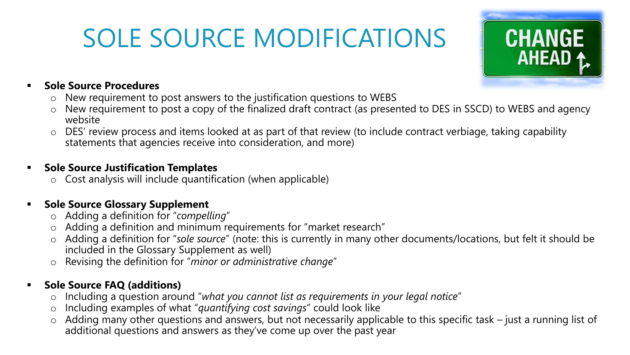# SOLE SOURCE MODIFICATIONS



#### **Sole Source Procedures**

- o New requirement to post answers to the justification questions to WEBS
- o New requirement to post a copy of the finalized draft contract (as presented to DES in SSCD) to WEBS and agency website
- o DES' review process and items looked at as part of that review (to include contract verbiage, taking capability statements that agencies receive into consideration, and more)

#### **Sole Source Justification Templates**

 $\circ$  Cost analysis will include quantification (when applicable)

### **F** Sole Source Glossary Supplement

- o Adding a definition for "*compelling*"
- o Adding a definition and minimum requirements for "market research"
- o Adding a definition for "*sole source*" (note: this is currently in many other documents/locations, but felt it should be included in the Glossary Supplement as well)
- Revising the definition for "*minor or administrative change*"

## **Sole Source FAQ (additions)**

- o Including a question around "*what you cannot list as requirements in your legal notice*"
- o Including examples of what "*quantifying cost savings*" could look like
- o Adding many other questions and answers, but not necessarily applicable to this specific task just a running list of additional questions and answers as they've come up over the past year